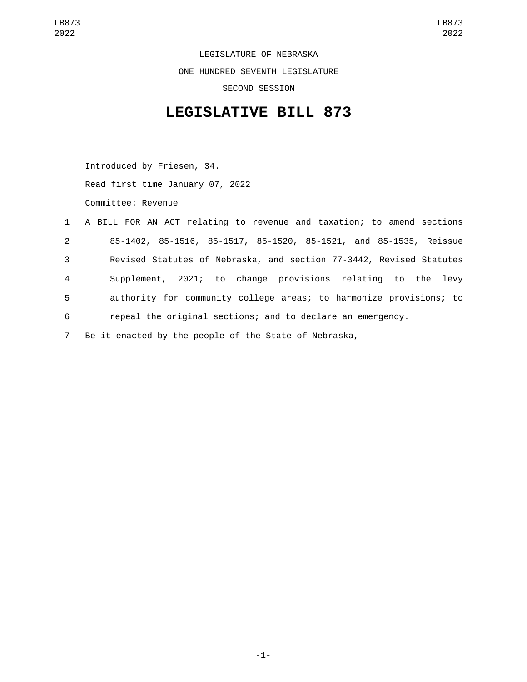LEGISLATURE OF NEBRASKA ONE HUNDRED SEVENTH LEGISLATURE SECOND SESSION

## **LEGISLATIVE BILL 873**

Introduced by Friesen, 34. Read first time January 07, 2022 Committee: Revenue

|                | 1 A BILL FOR AN ACT relating to revenue and taxation; to amend sections |
|----------------|-------------------------------------------------------------------------|
| $2^{\circ}$    | 85-1402, 85-1516, 85-1517, 85-1520, 85-1521, and 85-1535, Reissue       |
| 3              | Revised Statutes of Nebraska, and section 77-3442, Revised Statutes     |
| $\overline{4}$ | Supplement, 2021; to change provisions relating to the levy             |
| 5 <sub>1</sub> | authority for community college areas; to harmonize provisions; to      |
| 6              | repeal the original sections; and to declare an emergency.              |
| $7^{\circ}$    | Be it enacted by the people of the State of Nebraska,                   |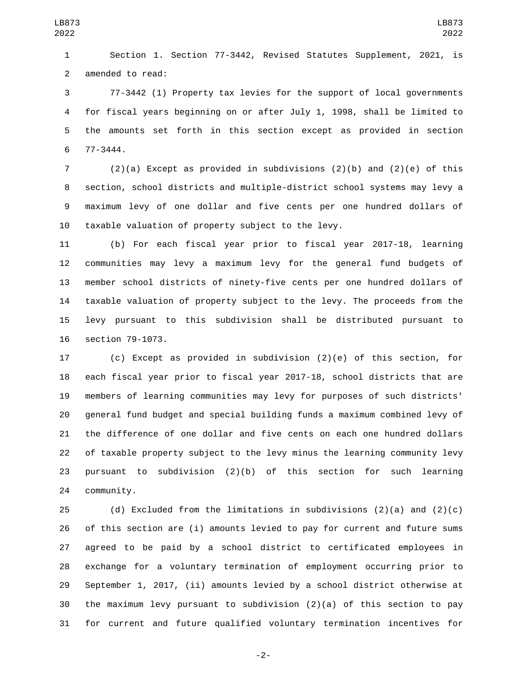Section 1. Section 77-3442, Revised Statutes Supplement, 2021, is 2 amended to read:

 77-3442 (1) Property tax levies for the support of local governments for fiscal years beginning on or after July 1, 1998, shall be limited to the amounts set forth in this section except as provided in section 77-3444.6

 (2)(a) Except as provided in subdivisions (2)(b) and (2)(e) of this section, school districts and multiple-district school systems may levy a maximum levy of one dollar and five cents per one hundred dollars of taxable valuation of property subject to the levy.

 (b) For each fiscal year prior to fiscal year 2017-18, learning communities may levy a maximum levy for the general fund budgets of member school districts of ninety-five cents per one hundred dollars of taxable valuation of property subject to the levy. The proceeds from the levy pursuant to this subdivision shall be distributed pursuant to 16 section 79-1073.

 (c) Except as provided in subdivision (2)(e) of this section, for each fiscal year prior to fiscal year 2017-18, school districts that are members of learning communities may levy for purposes of such districts' general fund budget and special building funds a maximum combined levy of the difference of one dollar and five cents on each one hundred dollars of taxable property subject to the levy minus the learning community levy pursuant to subdivision (2)(b) of this section for such learning 24 community.

25 (d) Excluded from the limitations in subdivisions  $(2)(a)$  and  $(2)(c)$  of this section are (i) amounts levied to pay for current and future sums agreed to be paid by a school district to certificated employees in exchange for a voluntary termination of employment occurring prior to September 1, 2017, (ii) amounts levied by a school district otherwise at the maximum levy pursuant to subdivision (2)(a) of this section to pay for current and future qualified voluntary termination incentives for

-2-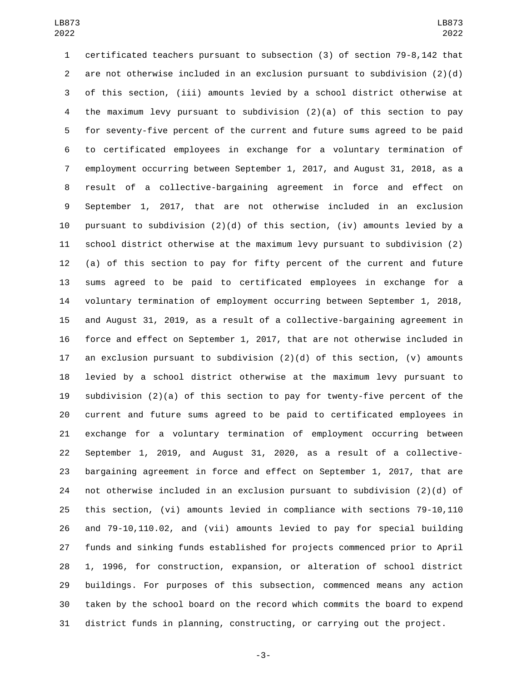certificated teachers pursuant to subsection (3) of section 79-8,142 that are not otherwise included in an exclusion pursuant to subdivision (2)(d) of this section, (iii) amounts levied by a school district otherwise at the maximum levy pursuant to subdivision (2)(a) of this section to pay for seventy-five percent of the current and future sums agreed to be paid to certificated employees in exchange for a voluntary termination of employment occurring between September 1, 2017, and August 31, 2018, as a result of a collective-bargaining agreement in force and effect on September 1, 2017, that are not otherwise included in an exclusion 10 pursuant to subdivision  $(2)(d)$  of this section, (iv) amounts levied by a school district otherwise at the maximum levy pursuant to subdivision (2) (a) of this section to pay for fifty percent of the current and future sums agreed to be paid to certificated employees in exchange for a voluntary termination of employment occurring between September 1, 2018, and August 31, 2019, as a result of a collective-bargaining agreement in force and effect on September 1, 2017, that are not otherwise included in 17 an exclusion pursuant to subdivision  $(2)(d)$  of this section,  $(v)$  amounts levied by a school district otherwise at the maximum levy pursuant to subdivision (2)(a) of this section to pay for twenty-five percent of the current and future sums agreed to be paid to certificated employees in exchange for a voluntary termination of employment occurring between September 1, 2019, and August 31, 2020, as a result of a collective- bargaining agreement in force and effect on September 1, 2017, that are not otherwise included in an exclusion pursuant to subdivision (2)(d) of this section, (vi) amounts levied in compliance with sections 79-10,110 and 79-10,110.02, and (vii) amounts levied to pay for special building funds and sinking funds established for projects commenced prior to April 1, 1996, for construction, expansion, or alteration of school district buildings. For purposes of this subsection, commenced means any action taken by the school board on the record which commits the board to expend district funds in planning, constructing, or carrying out the project.

-3-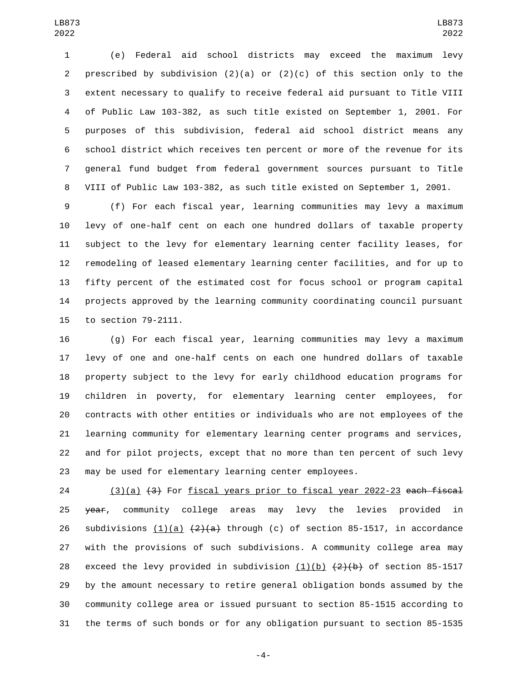(e) Federal aid school districts may exceed the maximum levy 2 prescribed by subdivision  $(2)(a)$  or  $(2)(c)$  of this section only to the extent necessary to qualify to receive federal aid pursuant to Title VIII of Public Law 103-382, as such title existed on September 1, 2001. For purposes of this subdivision, federal aid school district means any school district which receives ten percent or more of the revenue for its general fund budget from federal government sources pursuant to Title VIII of Public Law 103-382, as such title existed on September 1, 2001.

 (f) For each fiscal year, learning communities may levy a maximum levy of one-half cent on each one hundred dollars of taxable property subject to the levy for elementary learning center facility leases, for remodeling of leased elementary learning center facilities, and for up to fifty percent of the estimated cost for focus school or program capital projects approved by the learning community coordinating council pursuant 15 to section 79-2111.

 (g) For each fiscal year, learning communities may levy a maximum levy of one and one-half cents on each one hundred dollars of taxable property subject to the levy for early childhood education programs for children in poverty, for elementary learning center employees, for contracts with other entities or individuals who are not employees of the learning community for elementary learning center programs and services, and for pilot projects, except that no more than ten percent of such levy may be used for elementary learning center employees.

24 (3)(a)  $(3)$  For fiscal years prior to fiscal year 2022-23 each fiscal 25 year, community college areas may levy the levies provided in 26 subdivisions  $(1)(a)$   $(2)(a)$  through (c) of section 85-1517, in accordance with the provisions of such subdivisions. A community college area may 28 exceed the levy provided in subdivision  $(1)(b)$   $(2)(b)$  of section 85-1517 by the amount necessary to retire general obligation bonds assumed by the community college area or issued pursuant to section 85-1515 according to the terms of such bonds or for any obligation pursuant to section 85-1535

-4-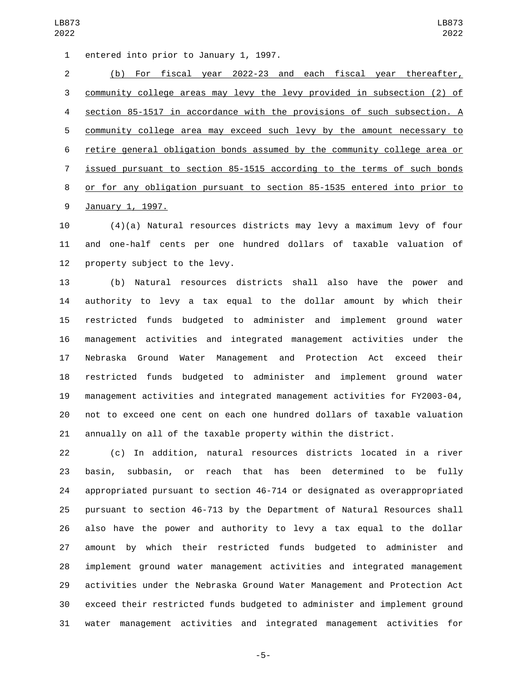1 entered into prior to January 1, 1997.

 (b) For fiscal year 2022-23 and each fiscal year thereafter, community college areas may levy the levy provided in subsection (2) of section 85-1517 in accordance with the provisions of such subsection. A community college area may exceed such levy by the amount necessary to retire general obligation bonds assumed by the community college area or issued pursuant to section 85-1515 according to the terms of such bonds or for any obligation pursuant to section 85-1535 entered into prior to 9 January 1, 1997.

 (4)(a) Natural resources districts may levy a maximum levy of four and one-half cents per one hundred dollars of taxable valuation of 12 property subject to the levy.

 (b) Natural resources districts shall also have the power and authority to levy a tax equal to the dollar amount by which their restricted funds budgeted to administer and implement ground water management activities and integrated management activities under the Nebraska Ground Water Management and Protection Act exceed their restricted funds budgeted to administer and implement ground water management activities and integrated management activities for FY2003-04, not to exceed one cent on each one hundred dollars of taxable valuation annually on all of the taxable property within the district.

 (c) In addition, natural resources districts located in a river basin, subbasin, or reach that has been determined to be fully appropriated pursuant to section 46-714 or designated as overappropriated pursuant to section 46-713 by the Department of Natural Resources shall also have the power and authority to levy a tax equal to the dollar amount by which their restricted funds budgeted to administer and implement ground water management activities and integrated management activities under the Nebraska Ground Water Management and Protection Act exceed their restricted funds budgeted to administer and implement ground water management activities and integrated management activities for

-5-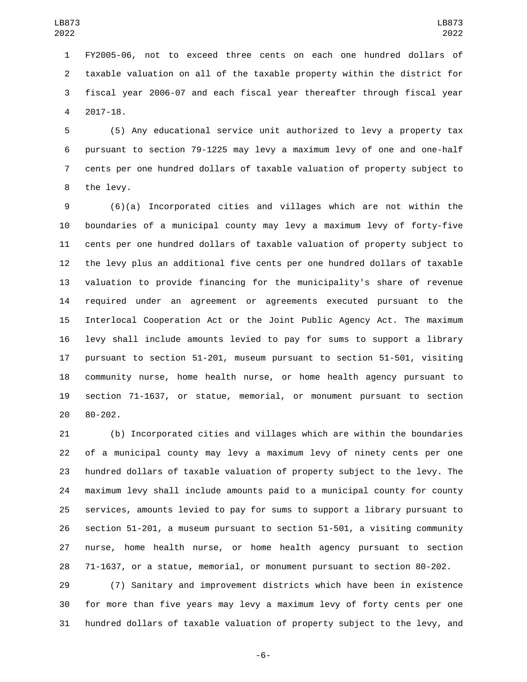FY2005-06, not to exceed three cents on each one hundred dollars of taxable valuation on all of the taxable property within the district for fiscal year 2006-07 and each fiscal year thereafter through fiscal year 2017-18.4

 (5) Any educational service unit authorized to levy a property tax pursuant to section 79-1225 may levy a maximum levy of one and one-half cents per one hundred dollars of taxable valuation of property subject to 8 the levy.

 (6)(a) Incorporated cities and villages which are not within the boundaries of a municipal county may levy a maximum levy of forty-five cents per one hundred dollars of taxable valuation of property subject to the levy plus an additional five cents per one hundred dollars of taxable valuation to provide financing for the municipality's share of revenue required under an agreement or agreements executed pursuant to the Interlocal Cooperation Act or the Joint Public Agency Act. The maximum levy shall include amounts levied to pay for sums to support a library pursuant to section 51-201, museum pursuant to section 51-501, visiting community nurse, home health nurse, or home health agency pursuant to section 71-1637, or statue, memorial, or monument pursuant to section 20 80-202.

 (b) Incorporated cities and villages which are within the boundaries of a municipal county may levy a maximum levy of ninety cents per one hundred dollars of taxable valuation of property subject to the levy. The maximum levy shall include amounts paid to a municipal county for county services, amounts levied to pay for sums to support a library pursuant to section 51-201, a museum pursuant to section 51-501, a visiting community nurse, home health nurse, or home health agency pursuant to section 71-1637, or a statue, memorial, or monument pursuant to section 80-202.

 (7) Sanitary and improvement districts which have been in existence for more than five years may levy a maximum levy of forty cents per one hundred dollars of taxable valuation of property subject to the levy, and

-6-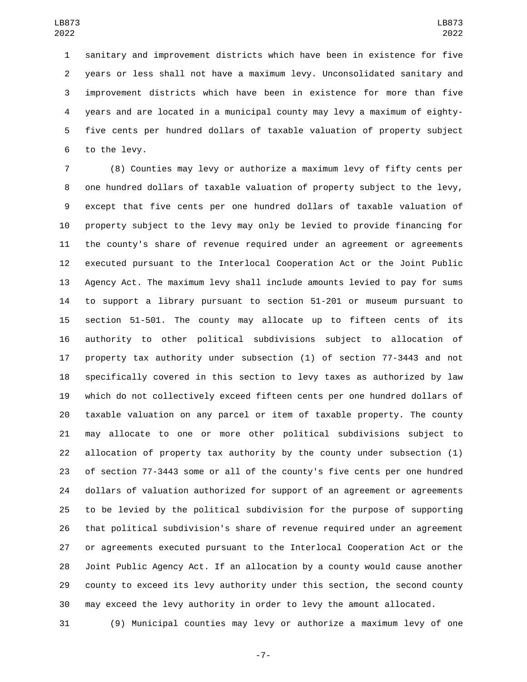sanitary and improvement districts which have been in existence for five years or less shall not have a maximum levy. Unconsolidated sanitary and improvement districts which have been in existence for more than five years and are located in a municipal county may levy a maximum of eighty- five cents per hundred dollars of taxable valuation of property subject 6 to the levy.

 (8) Counties may levy or authorize a maximum levy of fifty cents per one hundred dollars of taxable valuation of property subject to the levy, except that five cents per one hundred dollars of taxable valuation of property subject to the levy may only be levied to provide financing for the county's share of revenue required under an agreement or agreements executed pursuant to the Interlocal Cooperation Act or the Joint Public Agency Act. The maximum levy shall include amounts levied to pay for sums to support a library pursuant to section 51-201 or museum pursuant to section 51-501. The county may allocate up to fifteen cents of its authority to other political subdivisions subject to allocation of property tax authority under subsection (1) of section 77-3443 and not specifically covered in this section to levy taxes as authorized by law which do not collectively exceed fifteen cents per one hundred dollars of taxable valuation on any parcel or item of taxable property. The county may allocate to one or more other political subdivisions subject to allocation of property tax authority by the county under subsection (1) of section 77-3443 some or all of the county's five cents per one hundred dollars of valuation authorized for support of an agreement or agreements to be levied by the political subdivision for the purpose of supporting that political subdivision's share of revenue required under an agreement or agreements executed pursuant to the Interlocal Cooperation Act or the Joint Public Agency Act. If an allocation by a county would cause another county to exceed its levy authority under this section, the second county may exceed the levy authority in order to levy the amount allocated.

(9) Municipal counties may levy or authorize a maximum levy of one

-7-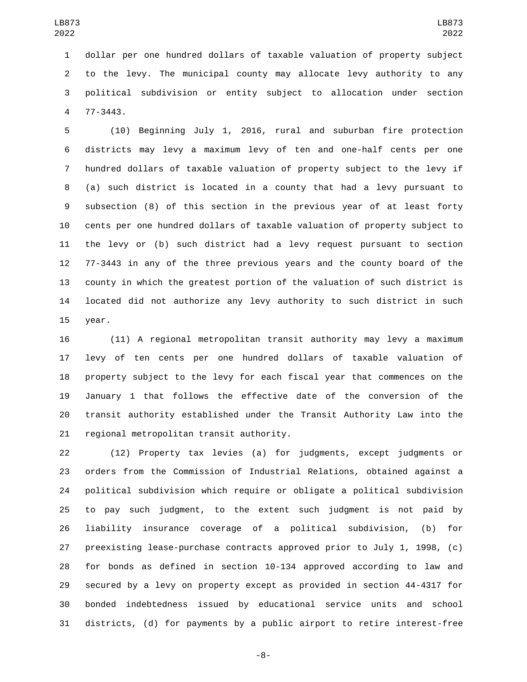dollar per one hundred dollars of taxable valuation of property subject to the levy. The municipal county may allocate levy authority to any political subdivision or entity subject to allocation under section 77-3443.4

 (10) Beginning July 1, 2016, rural and suburban fire protection districts may levy a maximum levy of ten and one-half cents per one hundred dollars of taxable valuation of property subject to the levy if (a) such district is located in a county that had a levy pursuant to subsection (8) of this section in the previous year of at least forty cents per one hundred dollars of taxable valuation of property subject to the levy or (b) such district had a levy request pursuant to section 77-3443 in any of the three previous years and the county board of the county in which the greatest portion of the valuation of such district is located did not authorize any levy authority to such district in such 15 year.

 (11) A regional metropolitan transit authority may levy a maximum levy of ten cents per one hundred dollars of taxable valuation of property subject to the levy for each fiscal year that commences on the January 1 that follows the effective date of the conversion of the transit authority established under the Transit Authority Law into the 21 regional metropolitan transit authority.

 (12) Property tax levies (a) for judgments, except judgments or orders from the Commission of Industrial Relations, obtained against a political subdivision which require or obligate a political subdivision to pay such judgment, to the extent such judgment is not paid by liability insurance coverage of a political subdivision, (b) for preexisting lease-purchase contracts approved prior to July 1, 1998, (c) for bonds as defined in section 10-134 approved according to law and secured by a levy on property except as provided in section 44-4317 for bonded indebtedness issued by educational service units and school districts, (d) for payments by a public airport to retire interest-free

-8-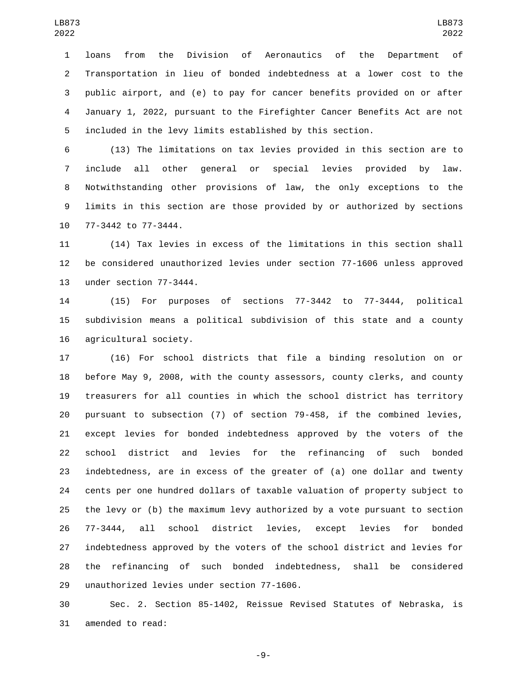loans from the Division of Aeronautics of the Department of Transportation in lieu of bonded indebtedness at a lower cost to the public airport, and (e) to pay for cancer benefits provided on or after January 1, 2022, pursuant to the Firefighter Cancer Benefits Act are not included in the levy limits established by this section.

 (13) The limitations on tax levies provided in this section are to include all other general or special levies provided by law. Notwithstanding other provisions of law, the only exceptions to the limits in this section are those provided by or authorized by sections 10 77-3442 to 77-3444.

 (14) Tax levies in excess of the limitations in this section shall be considered unauthorized levies under section 77-1606 unless approved 13 under section 77-3444.

 (15) For purposes of sections 77-3442 to 77-3444, political subdivision means a political subdivision of this state and a county 16 agricultural society.

 (16) For school districts that file a binding resolution on or before May 9, 2008, with the county assessors, county clerks, and county treasurers for all counties in which the school district has territory pursuant to subsection (7) of section 79-458, if the combined levies, except levies for bonded indebtedness approved by the voters of the school district and levies for the refinancing of such bonded indebtedness, are in excess of the greater of (a) one dollar and twenty cents per one hundred dollars of taxable valuation of property subject to the levy or (b) the maximum levy authorized by a vote pursuant to section 77-3444, all school district levies, except levies for bonded indebtedness approved by the voters of the school district and levies for the refinancing of such bonded indebtedness, shall be considered 29 unauthorized levies under section 77-1606.

 Sec. 2. Section 85-1402, Reissue Revised Statutes of Nebraska, is 31 amended to read:

-9-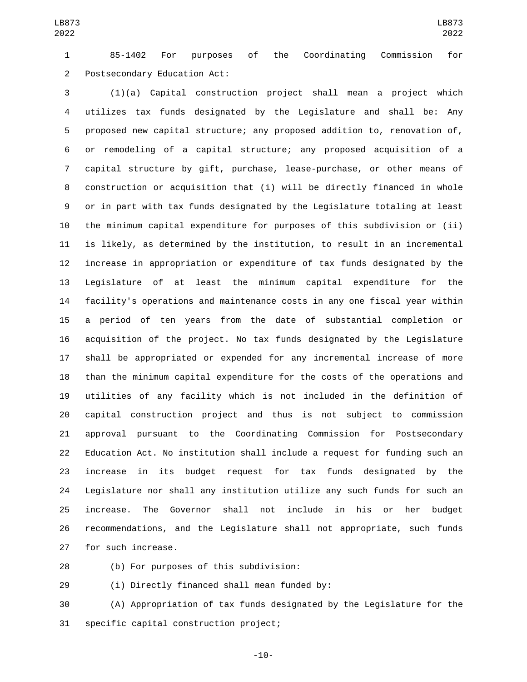85-1402 For purposes of the Coordinating Commission for Postsecondary Education Act:2

 (1)(a) Capital construction project shall mean a project which utilizes tax funds designated by the Legislature and shall be: Any proposed new capital structure; any proposed addition to, renovation of, or remodeling of a capital structure; any proposed acquisition of a capital structure by gift, purchase, lease-purchase, or other means of construction or acquisition that (i) will be directly financed in whole or in part with tax funds designated by the Legislature totaling at least the minimum capital expenditure for purposes of this subdivision or (ii) is likely, as determined by the institution, to result in an incremental increase in appropriation or expenditure of tax funds designated by the Legislature of at least the minimum capital expenditure for the facility's operations and maintenance costs in any one fiscal year within a period of ten years from the date of substantial completion or acquisition of the project. No tax funds designated by the Legislature shall be appropriated or expended for any incremental increase of more than the minimum capital expenditure for the costs of the operations and utilities of any facility which is not included in the definition of capital construction project and thus is not subject to commission approval pursuant to the Coordinating Commission for Postsecondary Education Act. No institution shall include a request for funding such an increase in its budget request for tax funds designated by the Legislature nor shall any institution utilize any such funds for such an increase. The Governor shall not include in his or her budget recommendations, and the Legislature shall not appropriate, such funds 27 for such increase.

(b) For purposes of this subdivision:28

29 (i) Directly financed shall mean funded by:

 (A) Appropriation of tax funds designated by the Legislature for the 31 specific capital construction project;

-10-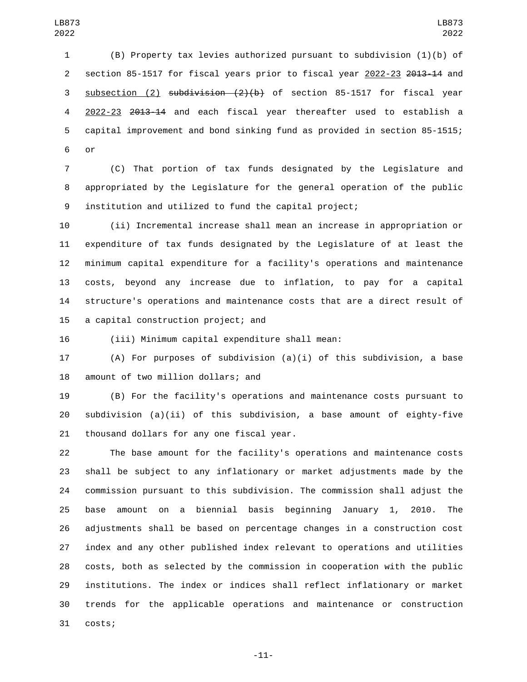(B) Property tax levies authorized pursuant to subdivision (1)(b) of 2 section 85-1517 for fiscal years prior to fiscal year 2022-23 2013-14 and subsection (2) subdivision (2)(b) of section 85-1517 for fiscal year 2022-23 2013-14 and each fiscal year thereafter used to establish a capital improvement and bond sinking fund as provided in section 85-1515; 6 or

 (C) That portion of tax funds designated by the Legislature and appropriated by the Legislature for the general operation of the public institution and utilized to fund the capital project;

 (ii) Incremental increase shall mean an increase in appropriation or expenditure of tax funds designated by the Legislature of at least the minimum capital expenditure for a facility's operations and maintenance costs, beyond any increase due to inflation, to pay for a capital structure's operations and maintenance costs that are a direct result of 15 a capital construction project; and

(iii) Minimum capital expenditure shall mean:

 (A) For purposes of subdivision (a)(i) of this subdivision, a base 18 amount of two million dollars; and

 (B) For the facility's operations and maintenance costs pursuant to subdivision (a)(ii) of this subdivision, a base amount of eighty-five 21 thousand dollars for any one fiscal year.

 The base amount for the facility's operations and maintenance costs shall be subject to any inflationary or market adjustments made by the commission pursuant to this subdivision. The commission shall adjust the base amount on a biennial basis beginning January 1, 2010. The adjustments shall be based on percentage changes in a construction cost index and any other published index relevant to operations and utilities costs, both as selected by the commission in cooperation with the public institutions. The index or indices shall reflect inflationary or market trends for the applicable operations and maintenance or construction 31 costs;

-11-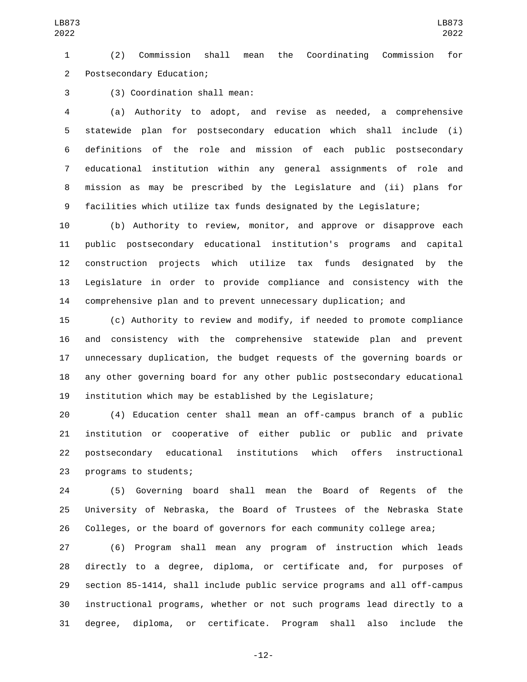(2) Commission shall mean the Coordinating Commission for Postsecondary Education;2

(3) Coordination shall mean:3

 (a) Authority to adopt, and revise as needed, a comprehensive statewide plan for postsecondary education which shall include (i) definitions of the role and mission of each public postsecondary educational institution within any general assignments of role and mission as may be prescribed by the Legislature and (ii) plans for facilities which utilize tax funds designated by the Legislature;

 (b) Authority to review, monitor, and approve or disapprove each public postsecondary educational institution's programs and capital construction projects which utilize tax funds designated by the Legislature in order to provide compliance and consistency with the comprehensive plan and to prevent unnecessary duplication; and

 (c) Authority to review and modify, if needed to promote compliance and consistency with the comprehensive statewide plan and prevent unnecessary duplication, the budget requests of the governing boards or any other governing board for any other public postsecondary educational institution which may be established by the Legislature;

 (4) Education center shall mean an off-campus branch of a public institution or cooperative of either public or public and private postsecondary educational institutions which offers instructional 23 programs to students;

 (5) Governing board shall mean the Board of Regents of the University of Nebraska, the Board of Trustees of the Nebraska State Colleges, or the board of governors for each community college area;

 (6) Program shall mean any program of instruction which leads directly to a degree, diploma, or certificate and, for purposes of section 85-1414, shall include public service programs and all off-campus instructional programs, whether or not such programs lead directly to a degree, diploma, or certificate. Program shall also include the

-12-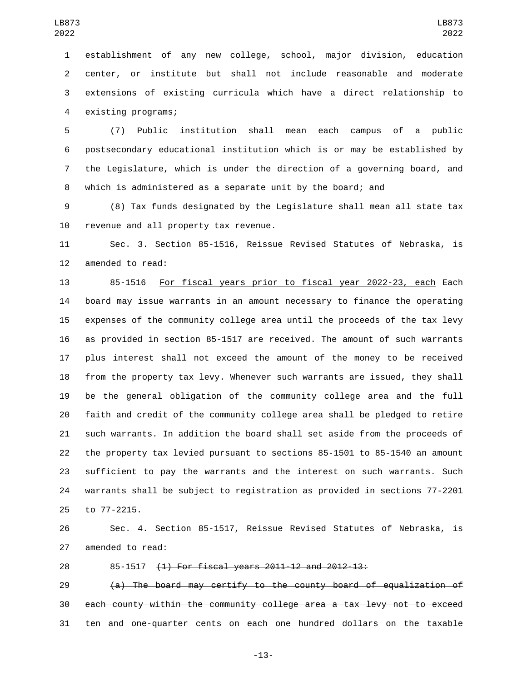establishment of any new college, school, major division, education center, or institute but shall not include reasonable and moderate extensions of existing curricula which have a direct relationship to 4 existing programs;

 (7) Public institution shall mean each campus of a public postsecondary educational institution which is or may be established by the Legislature, which is under the direction of a governing board, and which is administered as a separate unit by the board; and

 (8) Tax funds designated by the Legislature shall mean all state tax 10 revenue and all property tax revenue.

 Sec. 3. Section 85-1516, Reissue Revised Statutes of Nebraska, is 12 amended to read:

 85-1516 For fiscal years prior to fiscal year 2022-23, each Each board may issue warrants in an amount necessary to finance the operating expenses of the community college area until the proceeds of the tax levy as provided in section 85-1517 are received. The amount of such warrants plus interest shall not exceed the amount of the money to be received from the property tax levy. Whenever such warrants are issued, they shall be the general obligation of the community college area and the full faith and credit of the community college area shall be pledged to retire such warrants. In addition the board shall set aside from the proceeds of the property tax levied pursuant to sections 85-1501 to 85-1540 an amount sufficient to pay the warrants and the interest on such warrants. Such warrants shall be subject to registration as provided in sections 77-2201 25 to 77-2215.

 Sec. 4. Section 85-1517, Reissue Revised Statutes of Nebraska, is 27 amended to read:

85-1517 (1) For fiscal years 2011-12 and 2012-13:

 (a) The board may certify to the county board of equalization of each county within the community college area a tax levy not to exceed ten and one-quarter cents on each one hundred dollars on the taxable

-13-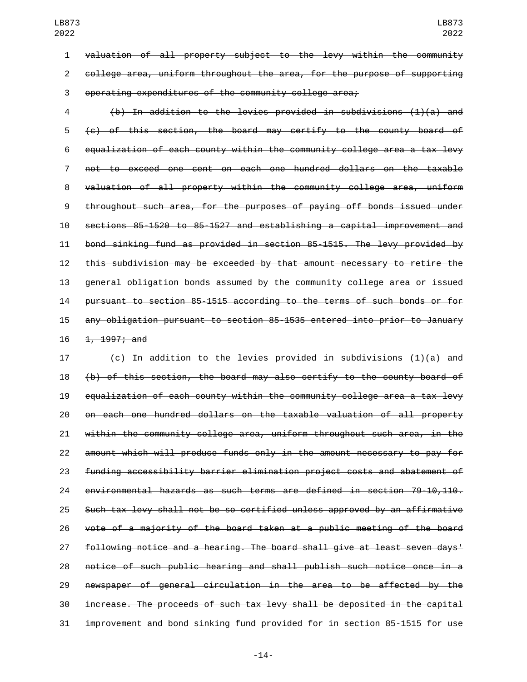valuation of all property subject to the levy within the community college area, uniform throughout the area, for the purpose of supporting operating expenditures of the community college area;

 (b) In addition to the levies provided in subdivisions (1)(a) and (c) of this section, the board may certify to the county board of equalization of each county within the community college area a tax levy not to exceed one cent on each one hundred dollars on the taxable valuation of all property within the community college area, uniform throughout such area, for the purposes of paying off bonds issued under sections 85-1520 to 85-1527 and establishing a capital improvement and bond sinking fund as provided in section 85-1515. The levy provided by this subdivision may be exceeded by that amount necessary to retire the general obligation bonds assumed by the community college area or issued pursuant to section 85-1515 according to the terms of such bonds or for any obligation pursuant to section 85-1535 entered into prior to January 16 1, 1997; and

 $\left\{ \left( \epsilon \right) \right\}$  in addition to the levies provided in subdivisions (1)(a) and (b) of this section, the board may also certify to the county board of equalization of each county within the community college area a tax levy on each one hundred dollars on the taxable valuation of all property within the community college area, uniform throughout such area, in the amount which will produce funds only in the amount necessary to pay for funding accessibility barrier elimination project costs and abatement of environmental hazards as such terms are defined in section 79-10,110. Such tax levy shall not be so certified unless approved by an affirmative vote of a majority of the board taken at a public meeting of the board following notice and a hearing. The board shall give at least seven days' notice of such public hearing and shall publish such notice once in a newspaper of general circulation in the area to be affected by the increase. The proceeds of such tax levy shall be deposited in the capital improvement and bond sinking fund provided for in section 85-1515 for use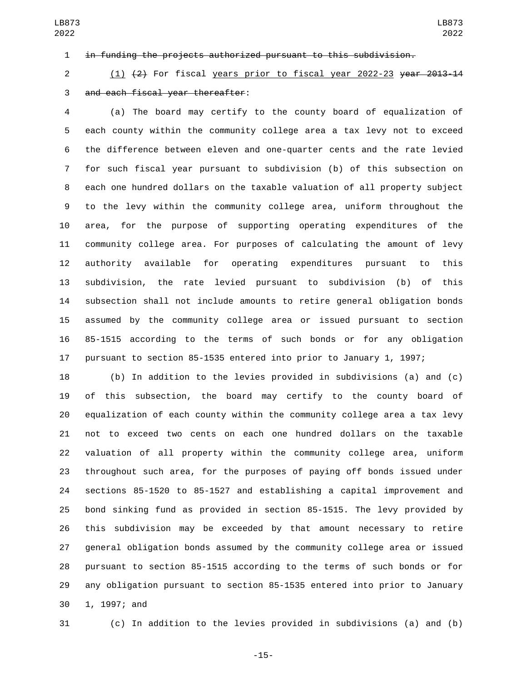in funding the projects authorized pursuant to this subdivision.

 (1) (2) For fiscal years prior to fiscal year 2022-23 year 2013-14 3 and each fiscal year thereafter:

 (a) The board may certify to the county board of equalization of each county within the community college area a tax levy not to exceed the difference between eleven and one-quarter cents and the rate levied for such fiscal year pursuant to subdivision (b) of this subsection on each one hundred dollars on the taxable valuation of all property subject to the levy within the community college area, uniform throughout the area, for the purpose of supporting operating expenditures of the community college area. For purposes of calculating the amount of levy authority available for operating expenditures pursuant to this subdivision, the rate levied pursuant to subdivision (b) of this subsection shall not include amounts to retire general obligation bonds assumed by the community college area or issued pursuant to section 85-1515 according to the terms of such bonds or for any obligation pursuant to section 85-1535 entered into prior to January 1, 1997;

 (b) In addition to the levies provided in subdivisions (a) and (c) of this subsection, the board may certify to the county board of equalization of each county within the community college area a tax levy not to exceed two cents on each one hundred dollars on the taxable valuation of all property within the community college area, uniform throughout such area, for the purposes of paying off bonds issued under sections 85-1520 to 85-1527 and establishing a capital improvement and bond sinking fund as provided in section 85-1515. The levy provided by this subdivision may be exceeded by that amount necessary to retire general obligation bonds assumed by the community college area or issued pursuant to section 85-1515 according to the terms of such bonds or for any obligation pursuant to section 85-1535 entered into prior to January 30 1, 1997; and

(c) In addition to the levies provided in subdivisions (a) and (b)

LB873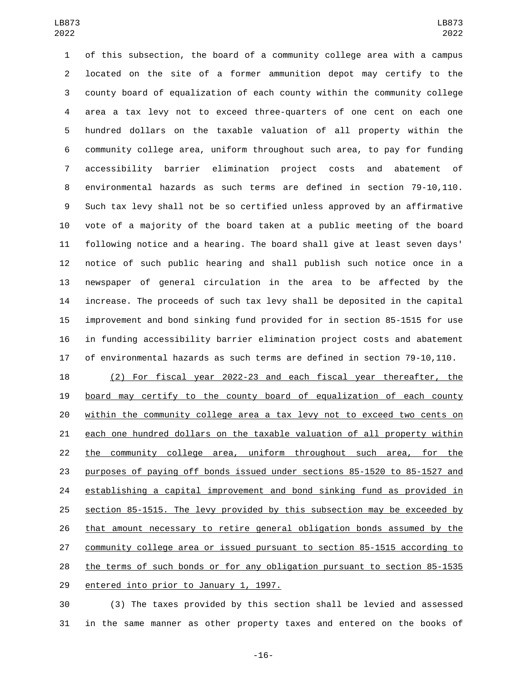of this subsection, the board of a community college area with a campus located on the site of a former ammunition depot may certify to the county board of equalization of each county within the community college area a tax levy not to exceed three-quarters of one cent on each one hundred dollars on the taxable valuation of all property within the community college area, uniform throughout such area, to pay for funding accessibility barrier elimination project costs and abatement of environmental hazards as such terms are defined in section 79-10,110. Such tax levy shall not be so certified unless approved by an affirmative vote of a majority of the board taken at a public meeting of the board following notice and a hearing. The board shall give at least seven days' notice of such public hearing and shall publish such notice once in a newspaper of general circulation in the area to be affected by the increase. The proceeds of such tax levy shall be deposited in the capital improvement and bond sinking fund provided for in section 85-1515 for use in funding accessibility barrier elimination project costs and abatement of environmental hazards as such terms are defined in section 79-10,110.

 (2) For fiscal year 2022-23 and each fiscal year thereafter, the board may certify to the county board of equalization of each county within the community college area a tax levy not to exceed two cents on each one hundred dollars on the taxable valuation of all property within the community college area, uniform throughout such area, for the purposes of paying off bonds issued under sections 85-1520 to 85-1527 and establishing a capital improvement and bond sinking fund as provided in section 85-1515. The levy provided by this subsection may be exceeded by that amount necessary to retire general obligation bonds assumed by the community college area or issued pursuant to section 85-1515 according to the terms of such bonds or for any obligation pursuant to section 85-1535 29 entered into prior to January 1, 1997.

 (3) The taxes provided by this section shall be levied and assessed in the same manner as other property taxes and entered on the books of

-16-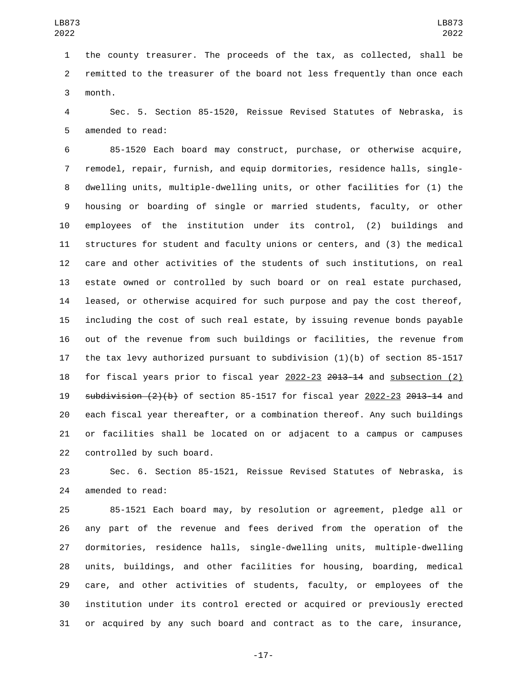the county treasurer. The proceeds of the tax, as collected, shall be remitted to the treasurer of the board not less frequently than once each 3 month.

 Sec. 5. Section 85-1520, Reissue Revised Statutes of Nebraska, is 5 amended to read:

 85-1520 Each board may construct, purchase, or otherwise acquire, remodel, repair, furnish, and equip dormitories, residence halls, single- dwelling units, multiple-dwelling units, or other facilities for (1) the housing or boarding of single or married students, faculty, or other employees of the institution under its control, (2) buildings and structures for student and faculty unions or centers, and (3) the medical care and other activities of the students of such institutions, on real estate owned or controlled by such board or on real estate purchased, leased, or otherwise acquired for such purpose and pay the cost thereof, including the cost of such real estate, by issuing revenue bonds payable out of the revenue from such buildings or facilities, the revenue from the tax levy authorized pursuant to subdivision (1)(b) of section 85-1517 for fiscal years prior to fiscal year 2022-23 2013-14 and subsection (2)  $subdivision (2)(b)$  of section 85-1517 for fiscal year 2022-23 2013-14 and each fiscal year thereafter, or a combination thereof. Any such buildings or facilities shall be located on or adjacent to a campus or campuses 22 controlled by such board.

 Sec. 6. Section 85-1521, Reissue Revised Statutes of Nebraska, is 24 amended to read:

 85-1521 Each board may, by resolution or agreement, pledge all or any part of the revenue and fees derived from the operation of the dormitories, residence halls, single-dwelling units, multiple-dwelling units, buildings, and other facilities for housing, boarding, medical care, and other activities of students, faculty, or employees of the institution under its control erected or acquired or previously erected or acquired by any such board and contract as to the care, insurance,

-17-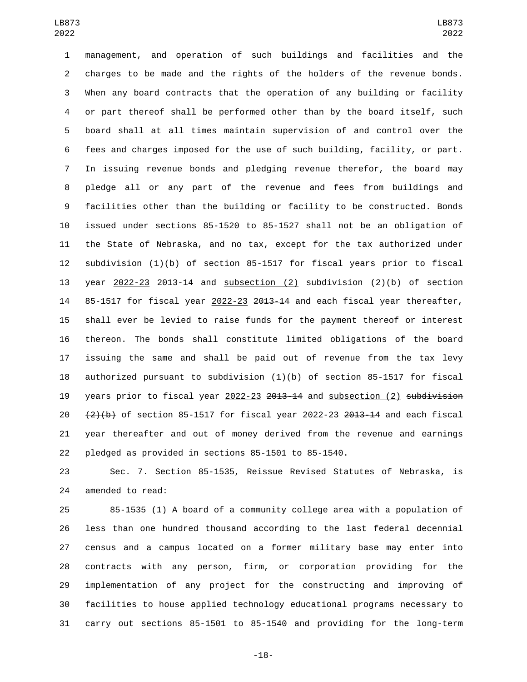management, and operation of such buildings and facilities and the charges to be made and the rights of the holders of the revenue bonds. When any board contracts that the operation of any building or facility or part thereof shall be performed other than by the board itself, such board shall at all times maintain supervision of and control over the fees and charges imposed for the use of such building, facility, or part. In issuing revenue bonds and pledging revenue therefor, the board may pledge all or any part of the revenue and fees from buildings and facilities other than the building or facility to be constructed. Bonds issued under sections 85-1520 to 85-1527 shall not be an obligation of the State of Nebraska, and no tax, except for the tax authorized under subdivision (1)(b) of section 85-1517 for fiscal years prior to fiscal 13 year  $2022-23$   $2013-14$  and subsection (2) subdivision  $(2)(b)$  of section 85-1517 for fiscal year 2022-23 2013-14 and each fiscal year thereafter, shall ever be levied to raise funds for the payment thereof or interest thereon. The bonds shall constitute limited obligations of the board issuing the same and shall be paid out of revenue from the tax levy authorized pursuant to subdivision (1)(b) of section 85-1517 for fiscal years prior to fiscal year 2022-23 2013-14 and subsection (2) subdivision  $(2)(b)$  of section 85-1517 for fiscal year 2022-23 2013-14 and each fiscal year thereafter and out of money derived from the revenue and earnings pledged as provided in sections 85-1501 to 85-1540.

 Sec. 7. Section 85-1535, Reissue Revised Statutes of Nebraska, is 24 amended to read:

 85-1535 (1) A board of a community college area with a population of less than one hundred thousand according to the last federal decennial census and a campus located on a former military base may enter into contracts with any person, firm, or corporation providing for the implementation of any project for the constructing and improving of facilities to house applied technology educational programs necessary to carry out sections 85-1501 to 85-1540 and providing for the long-term

-18-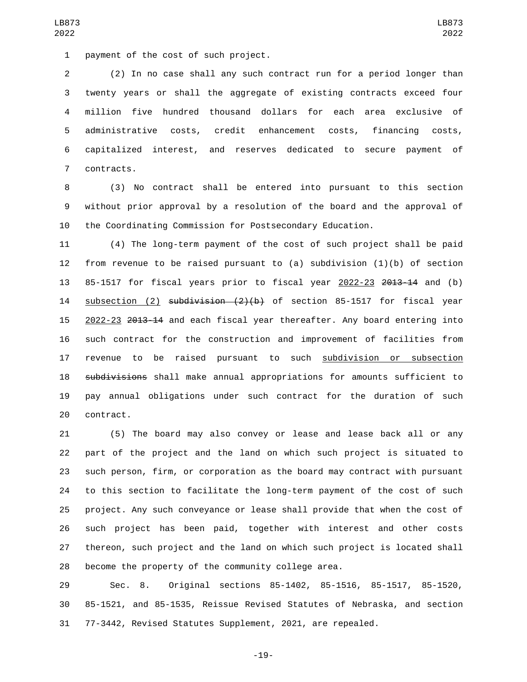1 payment of the cost of such project.

 (2) In no case shall any such contract run for a period longer than twenty years or shall the aggregate of existing contracts exceed four million five hundred thousand dollars for each area exclusive of administrative costs, credit enhancement costs, financing costs, capitalized interest, and reserves dedicated to secure payment of 7 contracts.

 (3) No contract shall be entered into pursuant to this section without prior approval by a resolution of the board and the approval of the Coordinating Commission for Postsecondary Education.

 (4) The long-term payment of the cost of such project shall be paid from revenue to be raised pursuant to (a) subdivision (1)(b) of section 85-1517 for fiscal years prior to fiscal year 2022-23 2013-14 and (b) 14 subsection (2) subdivision (2)(b) of section 85-1517 for fiscal year 2022-23 2013-14 and each fiscal year thereafter. Any board entering into such contract for the construction and improvement of facilities from 17 revenue to be raised pursuant to such subdivision or subsection 18 subdivisions shall make annual appropriations for amounts sufficient to pay annual obligations under such contract for the duration of such 20 contract.

 (5) The board may also convey or lease and lease back all or any part of the project and the land on which such project is situated to such person, firm, or corporation as the board may contract with pursuant to this section to facilitate the long-term payment of the cost of such project. Any such conveyance or lease shall provide that when the cost of such project has been paid, together with interest and other costs thereon, such project and the land on which such project is located shall become the property of the community college area.

 Sec. 8. Original sections 85-1402, 85-1516, 85-1517, 85-1520, 85-1521, and 85-1535, Reissue Revised Statutes of Nebraska, and section 77-3442, Revised Statutes Supplement, 2021, are repealed.

-19-